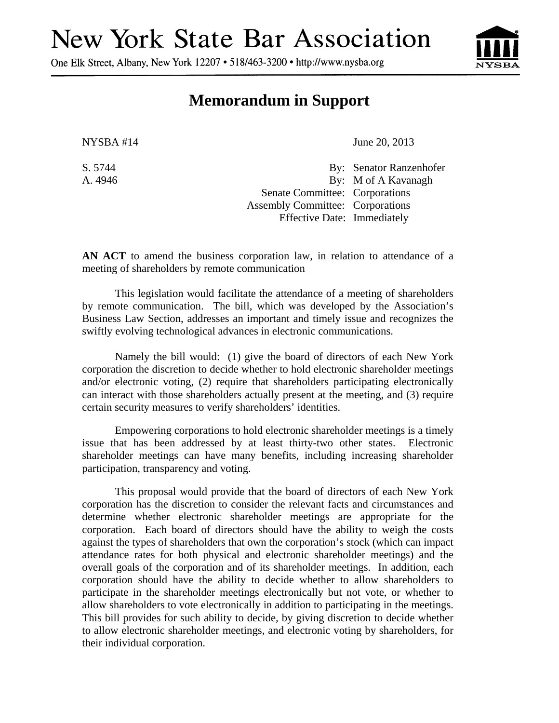## **New York State Bar Association**

One Elk Street, Albany, New York 12207 • 518/463-3200 • http://www.nysba.org



## **Memorandum in Support**

NYSBA #14 June 20, 2013

S. 5744 By: Senator Ranzenhofer A. 4946 By: M of A Kavanagh Senate Committee: Corporations Assembly Committee: Corporations Effective Date: Immediately

**AN ACT** to amend the business corporation law, in relation to attendance of a meeting of shareholders by remote communication

This legislation would facilitate the attendance of a meeting of shareholders by remote communication. The bill, which was developed by the Association's Business Law Section, addresses an important and timely issue and recognizes the swiftly evolving technological advances in electronic communications.

Namely the bill would: (1) give the board of directors of each New York corporation the discretion to decide whether to hold electronic shareholder meetings and/or electronic voting, (2) require that shareholders participating electronically can interact with those shareholders actually present at the meeting, and (3) require certain security measures to verify shareholders' identities.

Empowering corporations to hold electronic shareholder meetings is a timely issue that has been addressed by at least thirty-two other states. Electronic shareholder meetings can have many benefits, including increasing shareholder participation, transparency and voting.

This proposal would provide that the board of directors of each New York corporation has the discretion to consider the relevant facts and circumstances and determine whether electronic shareholder meetings are appropriate for the corporation. Each board of directors should have the ability to weigh the costs against the types of shareholders that own the corporation's stock (which can impact attendance rates for both physical and electronic shareholder meetings) and the overall goals of the corporation and of its shareholder meetings. In addition, each corporation should have the ability to decide whether to allow shareholders to participate in the shareholder meetings electronically but not vote, or whether to allow shareholders to vote electronically in addition to participating in the meetings. This bill provides for such ability to decide, by giving discretion to decide whether to allow electronic shareholder meetings, and electronic voting by shareholders, for their individual corporation.